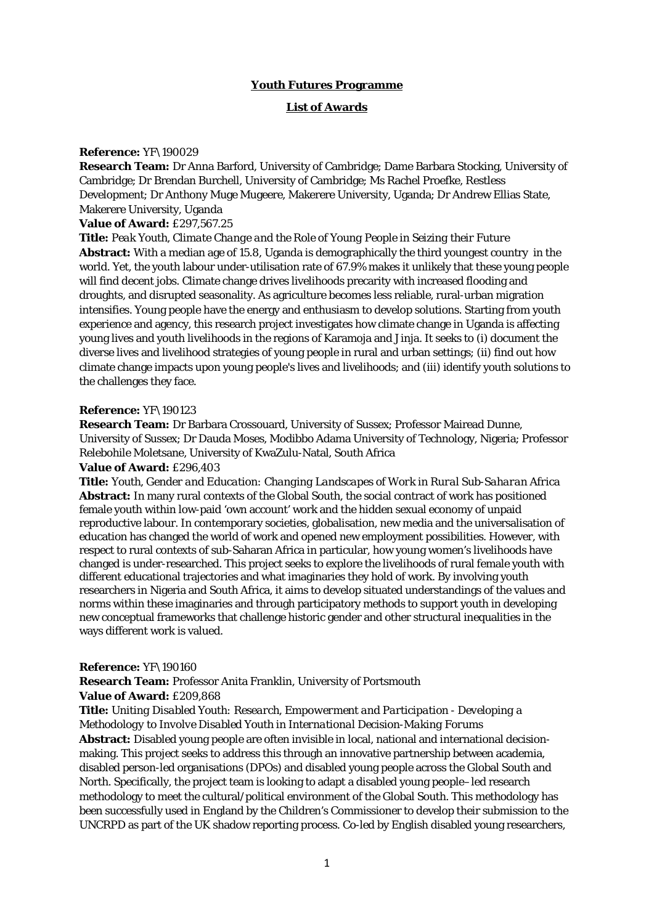# **Youth Futures Programme**

## **List of Awards**

### **Reference:** YF\190029

**Research Team:** Dr Anna Barford, University of Cambridge; Dame Barbara Stocking, University of Cambridge; Dr Brendan Burchell, University of Cambridge; Ms Rachel Proefke, Restless Development; Dr Anthony Muge Mugeere, Makerere University, Uganda; Dr Andrew Ellias State, Makerere University, Uganda

# **Value of Award:** £297,567.25

**Title:** *Peak Youth, Climate Change and the Role of Young People in Seizing their Future*

**Abstract:** With a median age of 15.8, Uganda is demographically the third youngest country in the world. Yet, the youth labour under-utilisation rate of 67.9% makes it unlikely that these young people will find decent jobs. Climate change drives livelihoods precarity with increased flooding and droughts, and disrupted seasonality. As agriculture becomes less reliable, rural-urban migration intensifies. Young people have the energy and enthusiasm to develop solutions. Starting from youth experience and agency, this research project investigates how climate change in Uganda is affecting young lives and youth livelihoods in the regions of Karamoja and Jinja. It seeks to (i) document the diverse lives and livelihood strategies of young people in rural and urban settings; (ii) find out how climate change impacts upon young people's lives and livelihoods; and (iii) identify youth solutions to the challenges they face.

#### **Reference:** YF\190123

**Research Team:** Dr Barbara Crossouard, University of Sussex; Professor Mairead Dunne, University of Sussex; Dr Dauda Moses, Modibbo Adama University of Technology, Nigeria; Professor Relebohile Moletsane, University of KwaZulu-Natal, South Africa

### **Value of Award:** £296,403

**Title:** *Youth, Gender and Education: Changing Landscapes of Work in Rural Sub-Saharan Africa* **Abstract:** In many rural contexts of the Global South, the social contract of work has positioned female youth within low-paid 'own account' work and the hidden sexual economy of unpaid reproductive labour. In contemporary societies, globalisation, new media and the universalisation of education has changed the world of work and opened new employment possibilities. However, with respect to rural contexts of sub-Saharan Africa in particular, how young women's livelihoods have changed is under-researched. This project seeks to explore the livelihoods of rural female youth with different educational trajectories and what imaginaries they hold of work. By involving youth researchers in Nigeria and South Africa, it aims to develop situated understandings of the values and norms within these imaginaries and through participatory methods to support youth in developing new conceptual frameworks that challenge historic gender and other structural inequalities in the ways different work is valued.

#### **Reference:** YF\190160

**Research Team:** Professor Anita Franklin, University of Portsmouth

### **Value of Award:** £209,868

## **Title:** *Uniting Disabled Youth: Research, Empowerment and Participation - Developing a Methodology to Involve Disabled Youth in International Decision-Making Forums*

**Abstract:** Disabled young people are often invisible in local, national and international decisionmaking. This project seeks to address this through an innovative partnership between academia, disabled person-led organisations (DPOs) and disabled young people across the Global South and North. Specifically, the project team is looking to adapt a disabled young people–led research methodology to meet the cultural/political environment of the Global South. This methodology has been successfully used in England by the Children's Commissioner to develop their submission to the UNCRPD as part of the UK shadow reporting process. Co-led by English disabled young researchers,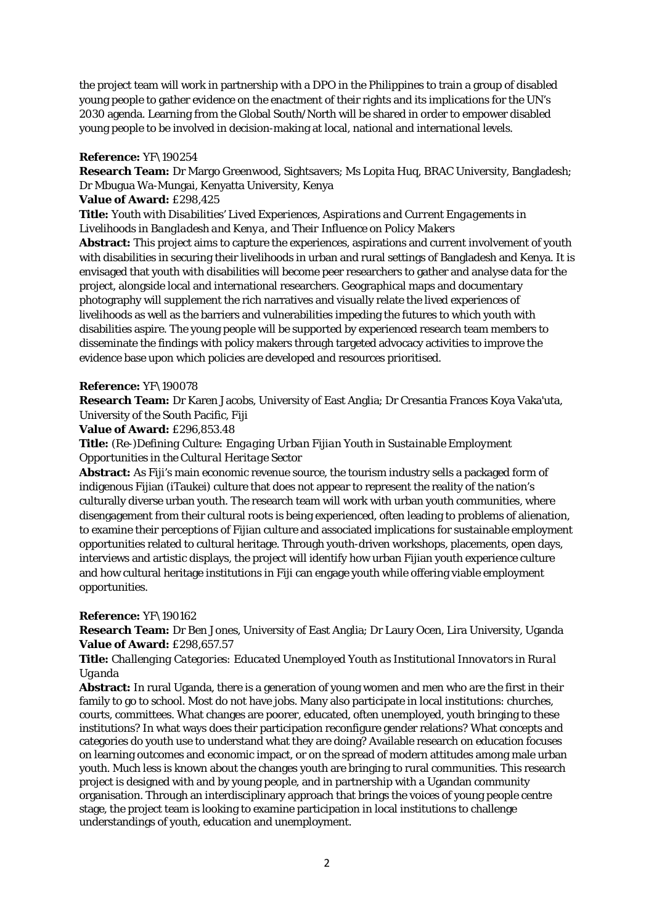the project team will work in partnership with a DPO in the Philippines to train a group of disabled young people to gather evidence on the enactment of their rights and its implications for the UN's 2030 agenda. Learning from the Global South/North will be shared in order to empower disabled young people to be involved in decision-making at local, national and international levels.

## **Reference:** YF\190254

**Research Team:** Dr Margo Greenwood, Sightsavers; Ms Lopita Huq, BRAC University, Bangladesh; Dr Mbugua Wa-Mungai, Kenyatta University, Kenya

## **Value of Award:** £298,425

**Title:** *Youth with Disabilities' Lived Experiences, Aspirations and Current Engagements in Livelihoods in Bangladesh and Kenya, and Their Influence on Policy Makers*

**Abstract:** This project aims to capture the experiences, aspirations and current involvement of youth with disabilities in securing their livelihoods in urban and rural settings of Bangladesh and Kenya. It is envisaged that youth with disabilities will become peer researchers to gather and analyse data for the project, alongside local and international researchers. Geographical maps and documentary photography will supplement the rich narratives and visually relate the lived experiences of livelihoods as well as the barriers and vulnerabilities impeding the futures to which youth with disabilities aspire. The young people will be supported by experienced research team members to disseminate the findings with policy makers through targeted advocacy activities to improve the evidence base upon which policies are developed and resources prioritised.

## **Reference:** YF\190078

**Research Team:** Dr Karen Jacobs, University of East Anglia; Dr Cresantia Frances Koya Vaka'uta, University of the South Pacific, Fiji

## **Value of Award:** £296,853.48

# **Title:** *(Re-)Defining Culture: Engaging Urban Fijian Youth in Sustainable Employment Opportunities in the Cultural Heritage Sector*

**Abstract:** As Fiji's main economic revenue source, the tourism industry sells a packaged form of indigenous Fijian (iTaukei) culture that does not appear to represent the reality of the nation's culturally diverse urban youth. The research team will work with urban youth communities, where disengagement from their cultural roots is being experienced, often leading to problems of alienation, to examine their perceptions of Fijian culture and associated implications for sustainable employment opportunities related to cultural heritage. Through youth-driven workshops, placements, open days, interviews and artistic displays, the project will identify how urban Fijian youth experience culture and how cultural heritage institutions in Fiji can engage youth while offering viable employment opportunities.

# **Reference:** YF\190162

**Research Team:** Dr Ben Jones, University of East Anglia; Dr Laury Ocen, Lira University, Uganda **Value of Award:** £298,657.57

# **Title:** *Challenging Categories: Educated Unemployed Youth as Institutional Innovators in Rural Uganda*

**Abstract:** In rural Uganda, there is a generation of young women and men who are the first in their family to go to school. Most do not have jobs. Many also participate in local institutions: churches, courts, committees. What changes are poorer, educated, often unemployed, youth bringing to these institutions? In what ways does their participation reconfigure gender relations? What concepts and categories do youth use to understand what they are doing? Available research on education focuses on learning outcomes and economic impact, or on the spread of modern attitudes among male urban youth. Much less is known about the changes youth are bringing to rural communities. This research project is designed with and by young people, and in partnership with a Ugandan community organisation. Through an interdisciplinary approach that brings the voices of young people centre stage, the project team is looking to examine participation in local institutions to challenge understandings of youth, education and unemployment.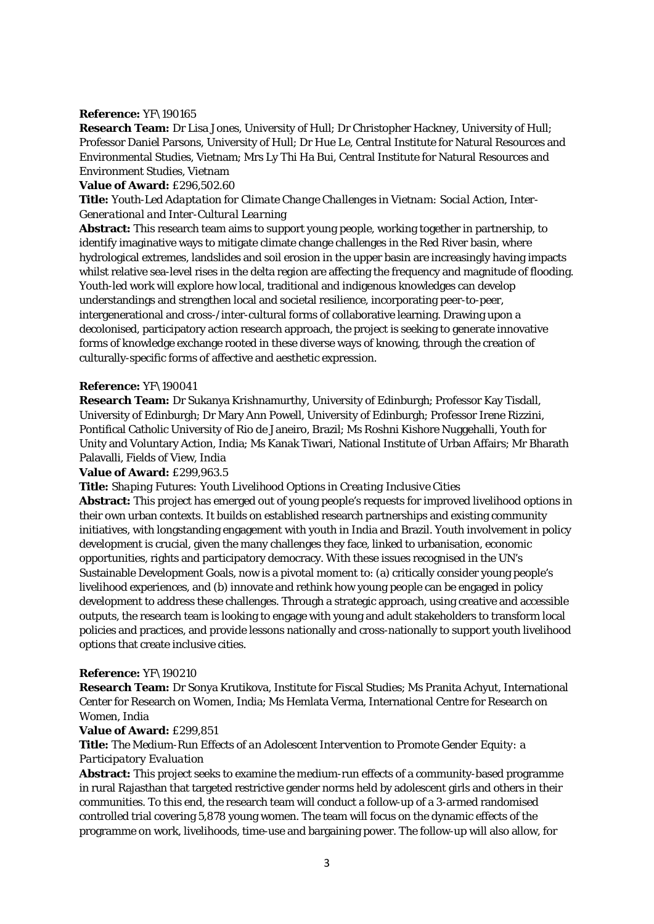## **Reference:** YF\190165

**Research Team:** Dr Lisa Jones, University of Hull; Dr Christopher Hackney, University of Hull; Professor Daniel Parsons, University of Hull; Dr Hue Le, Central Institute for Natural Resources and Environmental Studies, Vietnam; Mrs Ly Thi Ha Bui, Central Institute for Natural Resources and Environment Studies, Vietnam

### **Value of Award:** £296,502.60

**Title:** *Youth-Led Adaptation for Climate Change Challenges in Vietnam: Social Action, Inter-Generational and Inter-Cultural Learning*

**Abstract:** This research team aims to support young people, working together in partnership, to identify imaginative ways to mitigate climate change challenges in the Red River basin, where hydrological extremes, landslides and soil erosion in the upper basin are increasingly having impacts whilst relative sea-level rises in the delta region are affecting the frequency and magnitude of flooding. Youth-led work will explore how local, traditional and indigenous knowledges can develop understandings and strengthen local and societal resilience, incorporating peer-to-peer, intergenerational and cross-/inter-cultural forms of collaborative learning. Drawing upon a decolonised, participatory action research approach, the project is seeking to generate innovative forms of knowledge exchange rooted in these diverse ways of knowing, through the creation of culturally-specific forms of affective and aesthetic expression.

### **Reference:** YF\190041

**Research Team:** Dr Sukanya Krishnamurthy, University of Edinburgh; Professor Kay Tisdall, University of Edinburgh; Dr Mary Ann Powell, University of Edinburgh; Professor Irene Rizzini, Pontifical Catholic University of Rio de Janeiro, Brazil; Ms Roshni Kishore Nuggehalli, Youth for Unity and Voluntary Action, India; Ms Kanak Tiwari, National Institute of Urban Affairs; Mr Bharath Palavalli, Fields of View, India

### **Value of Award:** £299,963.5

**Title:** *Shaping Futures: Youth Livelihood Options in Creating Inclusive Cities*

**Abstract:** This project has emerged out of young people's requests for improved livelihood options in their own urban contexts. It builds on established research partnerships and existing community initiatives, with longstanding engagement with youth in India and Brazil. Youth involvement in policy development is crucial, given the many challenges they face, linked to urbanisation, economic opportunities, rights and participatory democracy. With these issues recognised in the UN's Sustainable Development Goals, now is a pivotal moment to: (a) critically consider young people's livelihood experiences, and (b) innovate and rethink how young people can be engaged in policy development to address these challenges. Through a strategic approach, using creative and accessible outputs, the research team is looking to engage with young and adult stakeholders to transform local policies and practices, and provide lessons nationally and cross-nationally to support youth livelihood options that create inclusive cities.

### **Reference:** YF\190210

**Research Team:** Dr Sonya Krutikova, Institute for Fiscal Studies; Ms Pranita Achyut, International Center for Research on Women, India; Ms Hemlata Verma, International Centre for Research on Women, India

## **Value of Award:** £299,851

# **Title:** *The Medium-Run Effects of an Adolescent Intervention to Promote Gender Equity: a Participatory Evaluation*

**Abstract:** This project seeks to examine the medium-run effects of a community-based programme in rural Rajasthan that targeted restrictive gender norms held by adolescent girls and others in their communities. To this end, the research team will conduct a follow-up of a 3-armed randomised controlled trial covering 5,878 young women. The team will focus on the dynamic effects of the programme on work, livelihoods, time-use and bargaining power. The follow-up will also allow, for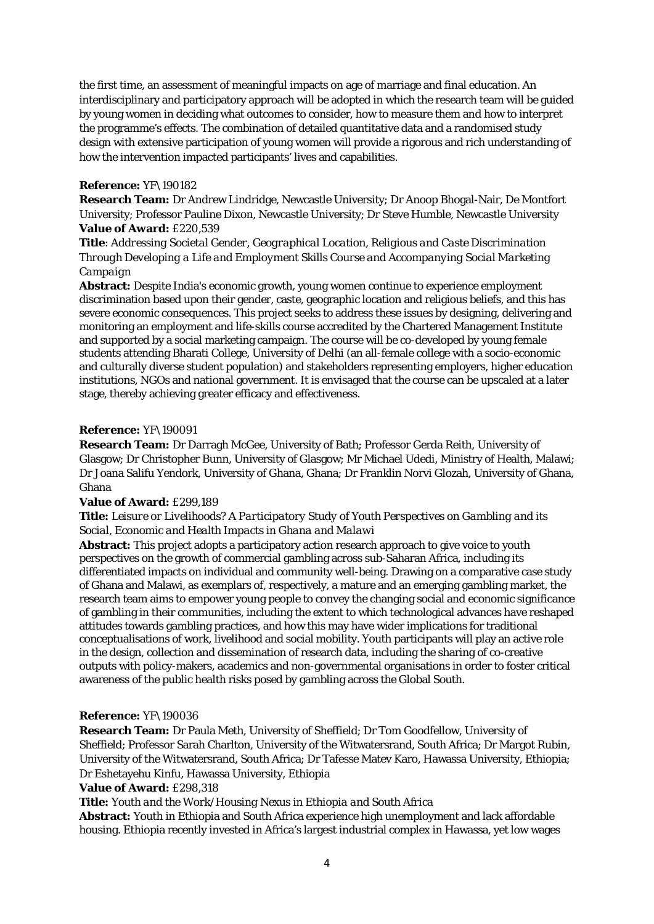the first time, an assessment of meaningful impacts on age of marriage and final education. An interdisciplinary and participatory approach will be adopted in which the research team will be guided by young women in deciding what outcomes to consider, how to measure them and how to interpret the programme's effects. The combination of detailed quantitative data and a randomised study design with extensive participation of young women will provide a rigorous and rich understanding of how the intervention impacted participants' lives and capabilities.

## **Reference:** YF\190182

**Research Team:** Dr Andrew Lindridge, Newcastle University; Dr Anoop Bhogal-Nair, De Montfort University; Professor Pauline Dixon, Newcastle University; Dr Steve Humble, Newcastle University **Value of Award:** £220,539

**Title**: *Addressing Societal Gender, Geographical Location, Religious and Caste Discrimination Through Developing a Life and Employment Skills Course and Accompanying Social Marketing Campaign*

**Abstract:** Despite India's economic growth, young women continue to experience employment discrimination based upon their gender, caste, geographic location and religious beliefs, and this has severe economic consequences. This project seeks to address these issues by designing, delivering and monitoring an employment and life-skills course accredited by the Chartered Management Institute and supported by a social marketing campaign. The course will be co-developed by young female students attending Bharati College, University of Delhi (an all-female college with a socio-economic and culturally diverse student population) and stakeholders representing employers, higher education institutions, NGOs and national government. It is envisaged that the course can be upscaled at a later stage, thereby achieving greater efficacy and effectiveness.

## **Reference:** YF\190091

**Research Team:** Dr Darragh McGee, University of Bath; Professor Gerda Reith, University of Glasgow; Dr Christopher Bunn, University of Glasgow; Mr Michael Udedi, Ministry of Health, Malawi; Dr Joana Salifu Yendork, University of Ghana, Ghana; Dr Franklin Norvi Glozah, University of Ghana, Ghana

### **Value of Award:** £299,189

# **Title:** *Leisure or Livelihoods? A Participatory Study of Youth Perspectives on Gambling and its Social, Economic and Health Impacts in Ghana and Malawi*

**Abstract:** This project adopts a participatory action research approach to give voice to youth perspectives on the growth of commercial gambling across sub-Saharan Africa, including its differentiated impacts on individual and community well-being. Drawing on a comparative case study of Ghana and Malawi, as exemplars of, respectively, a mature and an emerging gambling market, the research team aims to empower young people to convey the changing social and economic significance of gambling in their communities, including the extent to which technological advances have reshaped attitudes towards gambling practices, and how this may have wider implications for traditional conceptualisations of work, livelihood and social mobility. Youth participants will play an active role in the design, collection and dissemination of research data, including the sharing of co-creative outputs with policy-makers, academics and non-governmental organisations in order to foster critical awareness of the public health risks posed by gambling across the Global South.

# **Reference:** YF\190036

**Research Team:** Dr Paula Meth, University of Sheffield; Dr Tom Goodfellow, University of Sheffield; Professor Sarah Charlton, University of the Witwatersrand, South Africa; Dr Margot Rubin, University of the Witwatersrand, South Africa; Dr Tafesse Matev Karo, Hawassa University, Ethiopia; Dr Eshetayehu Kinfu, Hawassa University, Ethiopia

# **Value of Award:** £298,318

### **Title:** *Youth and the Work/Housing Nexus in Ethiopia and South Africa*

**Abstract:** Youth in Ethiopia and South Africa experience high unemployment and lack affordable housing. Ethiopia recently invested in Africa's largest industrial complex in Hawassa, yet low wages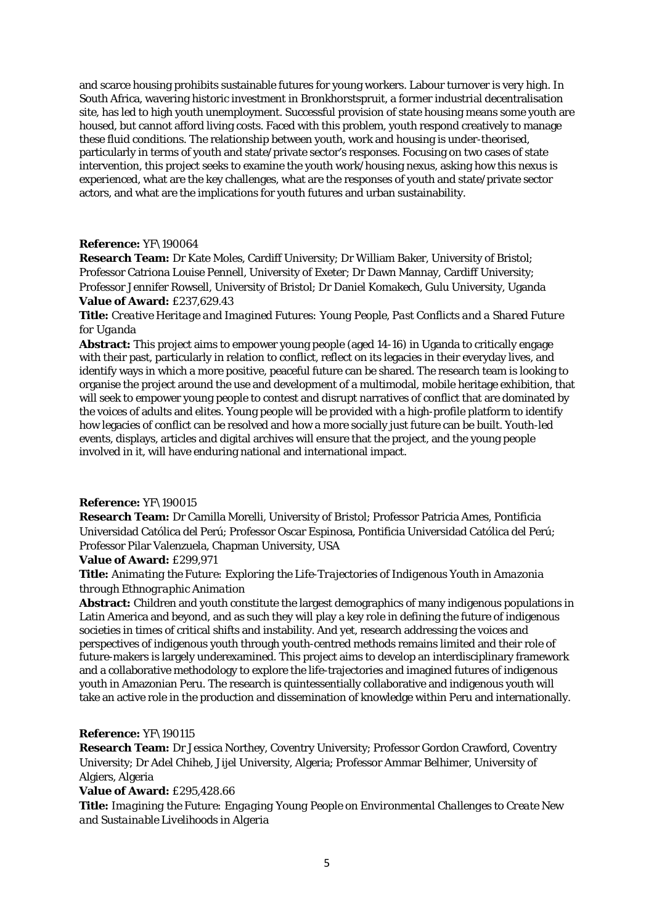and scarce housing prohibits sustainable futures for young workers. Labour turnover is very high. In South Africa, wavering historic investment in Bronkhorstspruit, a former industrial decentralisation site, has led to high youth unemployment. Successful provision of state housing means some youth are housed, but cannot afford living costs. Faced with this problem, youth respond creatively to manage these fluid conditions. The relationship between youth, work and housing is under-theorised, particularly in terms of youth and state/private sector's responses. Focusing on two cases of state intervention, this project seeks to examine the youth work/housing nexus, asking how this nexus is experienced, what are the key challenges, what are the responses of youth and state/private sector actors, and what are the implications for youth futures and urban sustainability.

## **Reference:** YF\190064

**Research Team:** Dr Kate Moles, Cardiff University; Dr William Baker, University of Bristol; Professor Catriona Louise Pennell, University of Exeter; Dr Dawn Mannay, Cardiff University; Professor Jennifer Rowsell, University of Bristol; Dr Daniel Komakech, Gulu University, Uganda **Value of Award:** £237,629.43

# **Title:** *Creative Heritage and Imagined Futures: Young People, Past Conflicts and a Shared Future for Uganda*

**Abstract:** This project aims to empower young people (aged 14-16) in Uganda to critically engage with their past, particularly in relation to conflict, reflect on its legacies in their everyday lives, and identify ways in which a more positive, peaceful future can be shared. The research team is looking to organise the project around the use and development of a multimodal, mobile heritage exhibition, that will seek to empower young people to contest and disrupt narratives of conflict that are dominated by the voices of adults and elites. Young people will be provided with a high-profile platform to identify how legacies of conflict can be resolved and how a more socially just future can be built. Youth-led events, displays, articles and digital archives will ensure that the project, and the young people involved in it, will have enduring national and international impact.

# **Reference:** YF\190015

**Research Team:** Dr Camilla Morelli, University of Bristol; Professor Patricia Ames, Pontificia Universidad Católica del Perú; Professor Oscar Espinosa, Pontificia Universidad Católica del Perú; Professor Pilar Valenzuela, Chapman University, USA

# **Value of Award:** £299,971

# **Title:** *Animating the Future: Exploring the Life-Trajectories of Indigenous Youth in Amazonia through Ethnographic Animation*

**Abstract:** Children and youth constitute the largest demographics of many indigenous populations in Latin America and beyond, and as such they will play a key role in defining the future of indigenous societies in times of critical shifts and instability. And yet, research addressing the voices and perspectives of indigenous youth through youth-centred methods remains limited and their role of future-makers is largely underexamined. This project aims to develop an interdisciplinary framework and a collaborative methodology to explore the life-trajectories and imagined futures of indigenous youth in Amazonian Peru. The research is quintessentially collaborative and indigenous youth will take an active role in the production and dissemination of knowledge within Peru and internationally.

### **Reference:** YF\190115

**Research Team:** Dr Jessica Northey, Coventry University; Professor Gordon Crawford, Coventry University; Dr Adel Chiheb, Jijel University, Algeria; Professor Ammar Belhimer, University of Algiers, Algeria

### **Value of Award:** £295,428.66

**Title:** *Imagining the Future: Engaging Young People on Environmental Challenges to Create New and Sustainable Livelihoods in Algeria*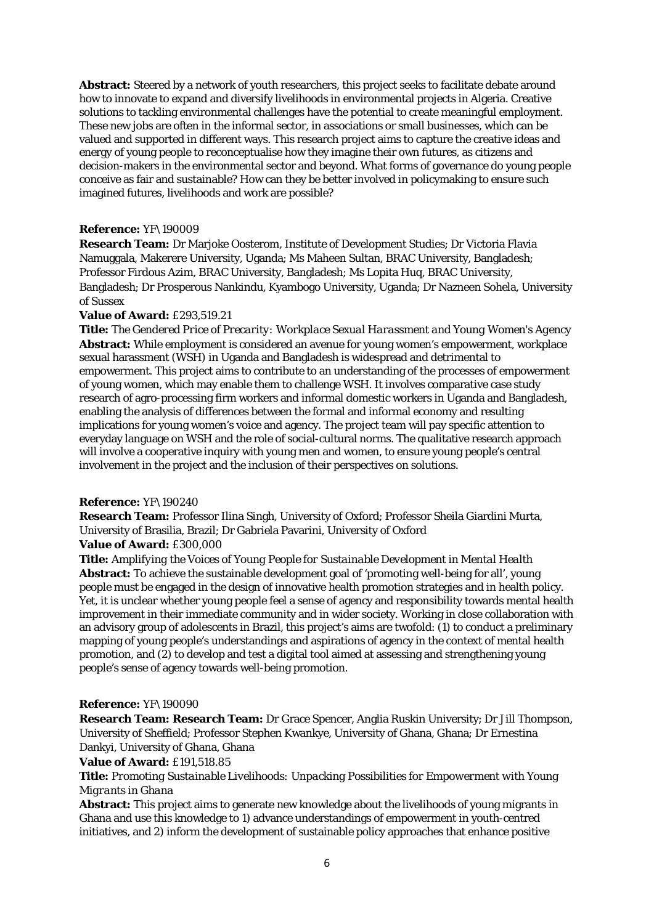**Abstract:** Steered by a network of youth researchers, this project seeks to facilitate debate around how to innovate to expand and diversify livelihoods in environmental projects in Algeria. Creative solutions to tackling environmental challenges have the potential to create meaningful employment. These new jobs are often in the informal sector, in associations or small businesses, which can be valued and supported in different ways. This research project aims to capture the creative ideas and energy of young people to reconceptualise how they imagine their own futures, as citizens and decision-makers in the environmental sector and beyond. What forms of governance do young people conceive as fair and sustainable? How can they be better involved in policymaking to ensure such imagined futures, livelihoods and work are possible?

# **Reference:** YF\190009

**Research Team:** Dr Marjoke Oosterom, Institute of Development Studies; Dr Victoria Flavia Namuggala, Makerere University, Uganda; Ms Maheen Sultan, BRAC University, Bangladesh; Professor Firdous Azim, BRAC University, Bangladesh; Ms Lopita Huq, BRAC University, Bangladesh; Dr Prosperous Nankindu, Kyambogo University, Uganda; Dr Nazneen Sohela, University of Sussex

# **Value of Award:** £293,519.21

**Title:** *The Gendered Price of Precarity: Workplace Sexual Harassment and Young Women's Agency* **Abstract:** While employment is considered an avenue for young women's empowerment, workplace sexual harassment (WSH) in Uganda and Bangladesh is widespread and detrimental to empowerment. This project aims to contribute to an understanding of the processes of empowerment of young women, which may enable them to challenge WSH. It involves comparative case study research of agro-processing firm workers and informal domestic workers in Uganda and Bangladesh, enabling the analysis of differences between the formal and informal economy and resulting implications for young women's voice and agency. The project team will pay specific attention to everyday language on WSH and the role of social-cultural norms. The qualitative research approach will involve a cooperative inquiry with young men and women, to ensure young people's central involvement in the project and the inclusion of their perspectives on solutions.

# **Reference:** YF\190240

**Research Team:** Professor Ilina Singh, University of Oxford; Professor Sheila Giardini Murta, University of Brasilia, Brazil; Dr Gabriela Pavarini, University of Oxford **Value of Award:** £300,000

**Title:** *Amplifying the Voices of Young People for Sustainable Development in Mental Health* **Abstract:** To achieve the sustainable development goal of 'promoting well-being for all', young people must be engaged in the design of innovative health promotion strategies and in health policy. Yet, it is unclear whether young people feel a sense of agency and responsibility towards mental health improvement in their immediate community and in wider society. Working in close collaboration with an advisory group of adolescents in Brazil, this project's aims are twofold: (1) to conduct a preliminary mapping of young people's understandings and aspirations of agency in the context of mental health promotion, and (2) to develop and test a digital tool aimed at assessing and strengthening young people's sense of agency towards well-being promotion.

# **Reference:** YF\190090

**Research Team: Research Team:** Dr Grace Spencer, Anglia Ruskin University; Dr Jill Thompson, University of Sheffield; Professor Stephen Kwankye, University of Ghana, Ghana; Dr Ernestina Dankyi, University of Ghana, Ghana

# **Value of Award:** £191,518.85

**Title:** *Promoting Sustainable Livelihoods: Unpacking Possibilities for Empowerment with Young Migrants in Ghana*

**Abstract:** This project aims to generate new knowledge about the livelihoods of young migrants in Ghana and use this knowledge to 1) advance understandings of empowerment in youth-centred initiatives, and 2) inform the development of sustainable policy approaches that enhance positive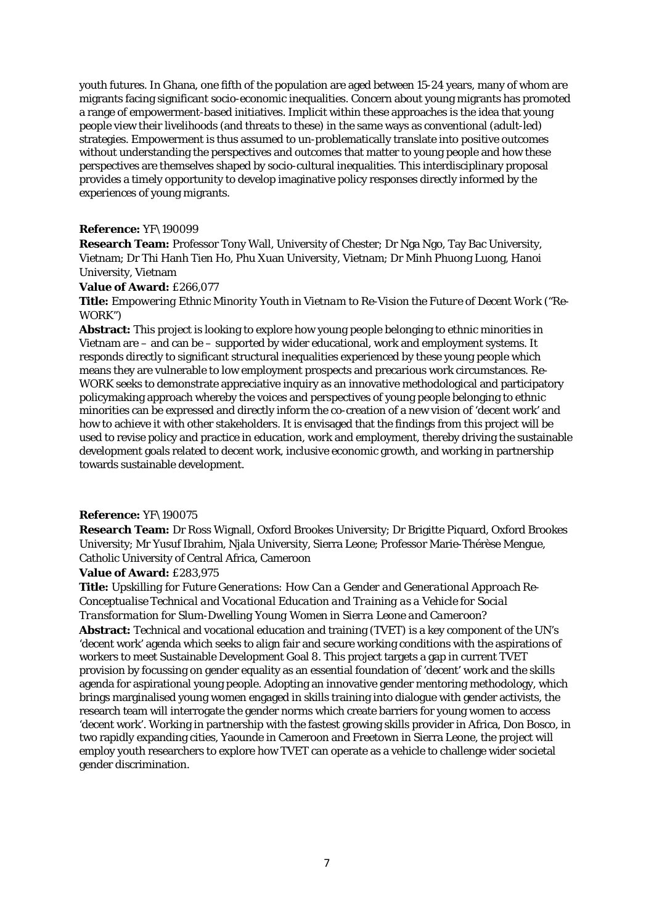youth futures. In Ghana, one fifth of the population are aged between 15-24 years, many of whom are migrants facing significant socio-economic inequalities. Concern about young migrants has promoted a range of empowerment-based initiatives. Implicit within these approaches is the idea that young people view their livelihoods (and threats to these) in the same ways as conventional (adult-led) strategies. Empowerment is thus assumed to un-problematically translate into positive outcomes without understanding the perspectives and outcomes that matter to young people and how these perspectives are themselves shaped by socio-cultural inequalities. This interdisciplinary proposal provides a timely opportunity to develop imaginative policy responses directly informed by the experiences of young migrants.

### **Reference:** YF\190099

**Research Team:** Professor Tony Wall, University of Chester; Dr Nga Ngo, Tay Bac University, Vietnam; Dr Thi Hanh Tien Ho, Phu Xuan University, Vietnam; Dr Minh Phuong Luong, Hanoi University, Vietnam

# **Value of Award:** £266,077

**Title:** *Empowering Ethnic Minority Youth in Vietnam to Re-Vision the Future of Decent Work ("Re-WORK")*

**Abstract:** This project is looking to explore how young people belonging to ethnic minorities in Vietnam are – and can be – supported by wider educational, work and employment systems. It responds directly to significant structural inequalities experienced by these young people which means they are vulnerable to low employment prospects and precarious work circumstances. Re-WORK seeks to demonstrate appreciative inquiry as an innovative methodological and participatory policymaking approach whereby the voices and perspectives of young people belonging to ethnic minorities can be expressed and directly inform the co-creation of a new vision of 'decent work' and how to achieve it with other stakeholders. It is envisaged that the findings from this project will be used to revise policy and practice in education, work and employment, thereby driving the sustainable development goals related to decent work, inclusive economic growth, and working in partnership towards sustainable development.

### **Reference:** YF\190075

**Research Team:** Dr Ross Wignall, Oxford Brookes University; Dr Brigitte Piquard, Oxford Brookes University; Mr Yusuf Ibrahim, Njala University, Sierra Leone; Professor Marie-Thérèse Mengue, Catholic University of Central Africa, Cameroon

## **Value of Award:** £283,975

**Title:** *Upskilling for Future Generations: How Can a Gender and Generational Approach Re-Conceptualise Technical and Vocational Education and Training as a Vehicle for Social Transformation for Slum-Dwelling Young Women in Sierra Leone and Cameroon?*

**Abstract:** Technical and vocational education and training (TVET) is a key component of the UN's 'decent work' agenda which seeks to align fair and secure working conditions with the aspirations of workers to meet Sustainable Development Goal 8. This project targets a gap in current TVET provision by focussing on gender equality as an essential foundation of 'decent' work and the skills agenda for aspirational young people. Adopting an innovative gender mentoring methodology, which brings marginalised young women engaged in skills training into dialogue with gender activists, the research team will interrogate the gender norms which create barriers for young women to access 'decent work'. Working in partnership with the fastest growing skills provider in Africa, Don Bosco, in two rapidly expanding cities, Yaounde in Cameroon and Freetown in Sierra Leone, the project will employ youth researchers to explore how TVET can operate as a vehicle to challenge wider societal gender discrimination.